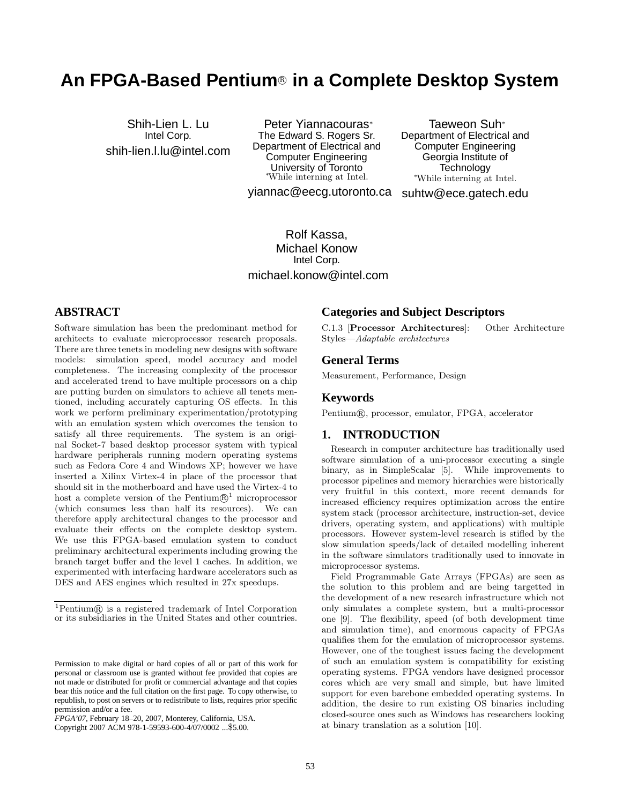# **An FPGA-Based Pentium<sup>®</sup> in a Complete Desktop System**

Shih-Lien L. Lu Intel Corp. shih-lien.l.lu@intel.com

Peter Yiannacouras<sup>∗</sup> The Edward S. Rogers Sr. Department of Electrical and Computer Engineering University of Toronto <sup>∗</sup>While interning at Intel.

yiannac@eecg.utoronto.ca suhtw@ece.gatech.edu Taeweon Suh<sup>∗</sup> Department of Electrical and Computer Engineering Georgia Institute of **Technology** <sup>∗</sup>While interning at Intel.

Rolf Kassa, Michael Konow Intel Corp. michael.konow@intel.com

# **ABSTRACT**

Software simulation has been the predominant method for architects to evaluate microprocessor research proposals. There are three tenets in modeling new designs with software models: simulation speed, model accuracy and model completeness. The increasing complexity of the processor and accelerated trend to have multiple processors on a chip are putting burden on simulators to achieve all tenets mentioned, including accurately capturing OS effects. In this work we perform preliminary experimentation/prototyping with an emulation system which overcomes the tension to satisfy all three requirements. The system is an original Socket-7 based desktop processor system with typical hardware peripherals running modern operating systems such as Fedora Core 4 and Windows XP; however we have inserted a Xilinx Virtex-4 in place of the processor that should sit in the motherboard and have used the Virtex-4 to host a complete version of the Pentium $\mathbb{B}^1$  microprocessor (which consumes less than half its resources). We can therefore apply architectural changes to the processor and evaluate their effects on the complete desktop system. We use this FPGA-based emulation system to conduct preliminary architectural experiments including growing the branch target buffer and the level 1 caches. In addition, we experimented with interfacing hardware accelerators such as DES and AES engines which resulted in 27x speedups.

# **Categories and Subject Descriptors**

C.1.3 [Processor Architectures]: Other Architecture Styles—Adaptable architectures

#### **General Terms**

Measurement, Performance, Design

#### **Keywords**

Pentium®, processor, emulator, FPGA, accelerator

# **1. INTRODUCTION**

Research in computer architecture has traditionally used software simulation of a uni-processor executing a single binary, as in SimpleScalar [5]. While improvements to processor pipelines and memory hierarchies were historically very fruitful in this context, more recent demands for increased efficiency requires optimization across the entire system stack (processor architecture, instruction-set, device drivers, operating system, and applications) with multiple processors. However system-level research is stifled by the slow simulation speeds/lack of detailed modelling inherent in the software simulators traditionally used to innovate in microprocessor systems.

Field Programmable Gate Arrays (FPGAs) are seen as the solution to this problem and are being targetted in the development of a new research infrastructure which not only simulates a complete system, but a multi-processor one [9]. The flexibility, speed (of both development time and simulation time), and enormous capacity of FPGAs qualifies them for the emulation of microprocessor systems. However, one of the toughest issues facing the development of such an emulation system is compatibility for existing operating systems. FPGA vendors have designed processor cores which are very small and simple, but have limited support for even barebone embedded operating systems. In addition, the desire to run existing OS binaries including closed-source ones such as Windows has researchers looking at binary translation as a solution [10].

 ${}^{1}$ Pentium $\circledR$  is a registered trademark of Intel Corporation or its subsidiaries in the United States and other countries.

Permission to make digital or hard copies of all or part of this work for personal or classroom use is granted without fee provided that copies are not made or distributed for profit or commercial advantage and that copies bear this notice and the full citation on the first page. To copy otherwise, to republish, to post on servers or to redistribute to lists, requires prior specific permission and/or a fee.

*FPGA'07,* February 18–20, 2007, Monterey, California, USA.

Copyright 2007 ACM 978-1-59593-600-4/07/0002 ...\$5.00.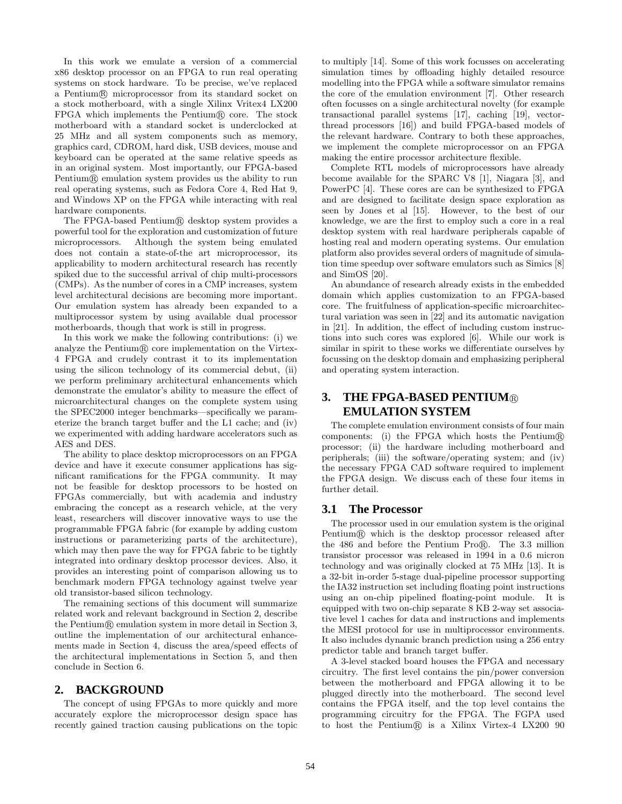In this work we emulate a version of a commercial x86 desktop processor on an FPGA to run real operating systems on stock hardware. To be precise, we've replaced a Pentium(R) microprocessor from its standard socket on a stock motherboard, with a single Xilinx Vritex4 LX200  $FPGA$  which implements the Pentium $\mathbb R$  core. The stock motherboard with a standard socket is underclocked at 25 MHz and all system components such as memory, graphics card, CDROM, hard disk, USB devices, mouse and keyboard can be operated at the same relative speeds as in an original system. Most importantly, our FPGA-based Pentium(R) emulation system provides us the ability to run real operating systems, such as Fedora Core 4, Red Hat 9, and Windows XP on the FPGA while interacting with real hardware components.

The FPGA-based Pentium® desktop system provides a powerful tool for the exploration and customization of future microprocessors. Although the system being emulated does not contain a state-of-the art microprocessor, its applicability to modern architectural research has recently spiked due to the successful arrival of chip multi-processors (CMPs). As the number of cores in a CMP increases, system level architectural decisions are becoming more important. Our emulation system has already been expanded to a multiprocessor system by using available dual processor motherboards, though that work is still in progress.

In this work we make the following contributions: (i) we analyze the Pentium $\mathbb R$  core implementation on the Virtex-4 FPGA and crudely contrast it to its implementation using the silicon technology of its commercial debut, (ii) we perform preliminary architectural enhancements which demonstrate the emulator's ability to measure the effect of microarchitectural changes on the complete system using the SPEC2000 integer benchmarks—specifically we parameterize the branch target buffer and the L1 cache; and (iv) we experimented with adding hardware accelerators such as AES and DES.

The ability to place desktop microprocessors on an FPGA device and have it execute consumer applications has significant ramifications for the FPGA community. It may not be feasible for desktop processors to be hosted on FPGAs commercially, but with academia and industry embracing the concept as a research vehicle, at the very least, researchers will discover innovative ways to use the programmable FPGA fabric (for example by adding custom instructions or parameterizing parts of the architecture), which may then pave the way for FPGA fabric to be tightly integrated into ordinary desktop processor devices. Also, it provides an interesting point of comparison allowing us to benchmark modern FPGA technology against twelve year old transistor-based silicon technology.

The remaining sections of this document will summarize related work and relevant background in Section 2, describe the Pentium(R) emulation system in more detail in Section 3, outline the implementation of our architectural enhancements made in Section 4, discuss the area/speed effects of the architectural implementations in Section 5, and then conclude in Section 6.

#### **2. BACKGROUND**

The concept of using FPGAs to more quickly and more accurately explore the microprocessor design space has recently gained traction causing publications on the topic

to multiply [14]. Some of this work focusses on accelerating simulation times by offloading highly detailed resource modelling into the FPGA while a software simulator remains the core of the emulation environment [7]. Other research often focusses on a single architectural novelty (for example transactional parallel systems [17], caching [19], vectorthread processors [16]) and build FPGA-based models of the relevant hardware. Contrary to both these approaches, we implement the complete microprocessor on an FPGA making the entire processor architecture flexible.

Complete RTL models of microprocessors have already become available for the SPARC V8 [1], Niagara [3], and PowerPC [4]. These cores are can be synthesized to FPGA and are designed to facilitate design space exploration as seen by Jones et al [15]. However, to the best of our knowledge, we are the first to employ such a core in a real desktop system with real hardware peripherals capable of hosting real and modern operating systems. Our emulation platform also provides several orders of magnitude of simulation time speedup over software emulators such as Simics [8] and SimOS [20].

An abundance of research already exists in the embedded domain which applies customization to an FPGA-based core. The fruitfulness of application-specific microarchitectural variation was seen in [22] and its automatic navigation in [21]. In addition, the effect of including custom instructions into such cores was explored [6]. While our work is similar in spirit to these works we differentiate ourselves by focussing on the desktop domain and emphasizing peripheral and operating system interaction.

# **3. THE FPGA-BASED PENTIUM**® **EMULATION SYSTEM**

The complete emulation environment consists of four main components: (i) the FPGA which hosts the Pentium $\mathbb R$ processor; (ii) the hardware including motherboard and peripherals; (iii) the software/operating system; and (iv) the necessary FPGA CAD software required to implement the FPGA design. We discuss each of these four items in further detail.

#### **3.1 The Processor**

The processor used in our emulation system is the original Pentium (R) which is the desktop processor released after the 486 and before the Pentium Pro $(R)$ . The 3.3 million transistor processor was released in 1994 in a 0.6 micron technology and was originally clocked at 75 MHz [13]. It is a 32-bit in-order 5-stage dual-pipeline processor supporting the IA32 instruction set including floating point instructions using an on-chip pipelined floating-point module. It is equipped with two on-chip separate 8 KB 2-way set associative level 1 caches for data and instructions and implements the MESI protocol for use in multiprocessor environments. It also includes dynamic branch prediction using a 256 entry predictor table and branch target buffer.

A 3-level stacked board houses the FPGA and necessary circuitry. The first level contains the pin/power conversion between the motherboard and FPGA allowing it to be plugged directly into the motherboard. The second level contains the FPGA itself, and the top level contains the programming circuitry for the FPGA. The FGPA used to host the Pentium $\mathcal{R}$  is a Xilinx Virtex-4 LX200 90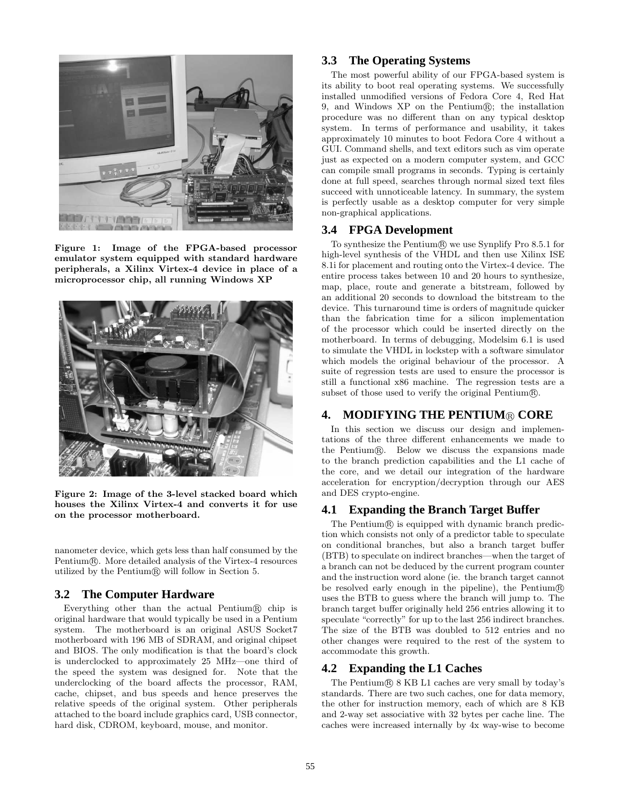

Figure 1: Image of the FPGA-based processor emulator system equipped with standard hardware peripherals, a Xilinx Virtex-4 device in place of a microprocessor chip, all running Windows XP



Figure 2: Image of the 3-level stacked board which houses the Xilinx Virtex-4 and converts it for use on the processor motherboard.

nanometer device, which gets less than half consumed by the  $Pentium(R)$ . More detailed analysis of the Virtex-4 resources utilized by the Pentium $\mathbb R$  will follow in Section 5.

# **3.2 The Computer Hardware**

Everything other than the actual Pentium $(\mathbb{R})$  chip is original hardware that would typically be used in a Pentium system. The motherboard is an original ASUS Socket7 motherboard with 196 MB of SDRAM, and original chipset and BIOS. The only modification is that the board's clock is underclocked to approximately 25 MHz—one third of the speed the system was designed for. Note that the underclocking of the board affects the processor, RAM, cache, chipset, and bus speeds and hence preserves the relative speeds of the original system. Other peripherals attached to the board include graphics card, USB connector, hard disk, CDROM, keyboard, mouse, and monitor.

# **3.3 The Operating Systems**

The most powerful ability of our FPGA-based system is its ability to boot real operating systems. We successfully installed unmodified versions of Fedora Core 4, Red Hat 9, and Windows  $XP$  on the Pentium $\mathbb{R}$ ; the installation procedure was no different than on any typical desktop system. In terms of performance and usability, it takes approximately 10 minutes to boot Fedora Core 4 without a GUI. Command shells, and text editors such as vim operate just as expected on a modern computer system, and GCC can compile small programs in seconds. Typing is certainly done at full speed, searches through normal sized text files succeed with unnoticeable latency. In summary, the system is perfectly usable as a desktop computer for very simple non-graphical applications.

#### **3.4 FPGA Development**

To synthesize the Pentium $\mathbb R$  we use Synplify Pro 8.5.1 for high-level synthesis of the VHDL and then use Xilinx ISE 8.1i for placement and routing onto the Virtex-4 device. The entire process takes between 10 and 20 hours to synthesize, map, place, route and generate a bitstream, followed by an additional 20 seconds to download the bitstream to the device. This turnaround time is orders of magnitude quicker than the fabrication time for a silicon implementation of the processor which could be inserted directly on the motherboard. In terms of debugging, Modelsim 6.1 is used to simulate the VHDL in lockstep with a software simulator which models the original behaviour of the processor. A suite of regression tests are used to ensure the processor is still a functional x86 machine. The regression tests are a subset of those used to verify the original Pentium $\mathbb{R}$ .

#### **4. MODIFYING THE PENTIUM** R CORE

In this section we discuss our design and implementations of the three different enhancements we made to the Pentium $(R)$ . Below we discuss the expansions made to the branch prediction capabilities and the L1 cache of the core, and we detail our integration of the hardware acceleration for encryption/decryption through our AES and DES crypto-engine.

# **4.1 Expanding the Branch Target Buffer**

The Pentium® is equipped with dynamic branch prediction which consists not only of a predictor table to speculate on conditional branches, but also a branch target buffer (BTB) to speculate on indirect branches—when the target of a branch can not be deduced by the current program counter and the instruction word alone (ie. the branch target cannot be resolved early enough in the pipeline), the Pentium® uses the BTB to guess where the branch will jump to. The branch target buffer originally held 256 entries allowing it to speculate "correctly" for up to the last 256 indirect branches. The size of the BTB was doubled to 512 entries and no other changes were required to the rest of the system to accommodate this growth.

#### **4.2 Expanding the L1 Caches**

The Pentium $\circledR$  8 KB L1 caches are very small by today's standards. There are two such caches, one for data memory, the other for instruction memory, each of which are 8 KB and 2-way set associative with 32 bytes per cache line. The caches were increased internally by 4x way-wise to become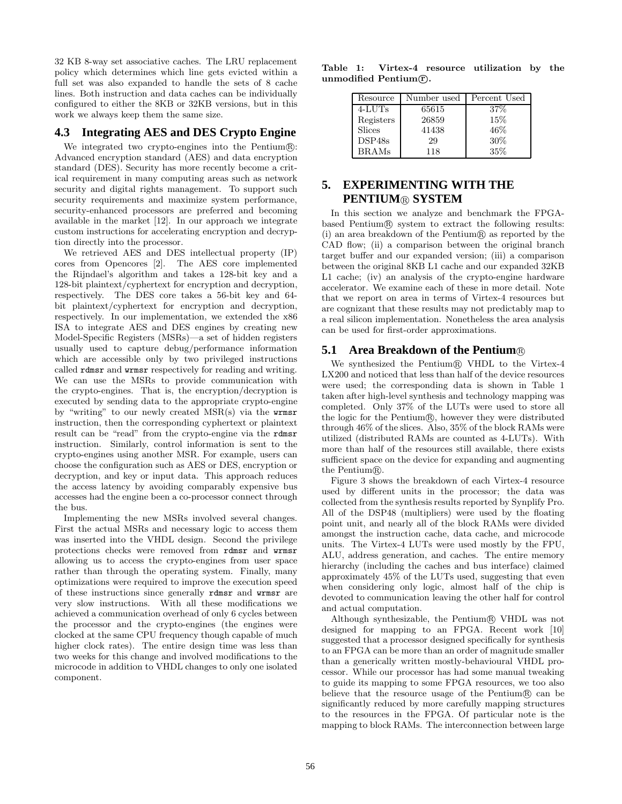32 KB 8-way set associative caches. The LRU replacement policy which determines which line gets evicted within a full set was also expanded to handle the sets of 8 cache lines. Both instruction and data caches can be individually configured to either the 8KB or 32KB versions, but in this work we always keep them the same size.

#### **4.3 Integrating AES and DES Crypto Engine**

We integrated two crypto-engines into the Pentium $\mathbb R$ : Advanced encryption standard (AES) and data encryption standard (DES). Security has more recently become a critical requirement in many computing areas such as network security and digital rights management. To support such security requirements and maximize system performance, security-enhanced processors are preferred and becoming available in the market [12]. In our approach we integrate custom instructions for accelerating encryption and decryption directly into the processor.

We retrieved AES and DES intellectual property (IP) cores from Opencores [2]. The AES core implemented the Rijndael's algorithm and takes a 128-bit key and a 128-bit plaintext/cyphertext for encryption and decryption, respectively. The DES core takes a 56-bit key and 64 bit plaintext/cyphertext for encryption and decryption, respectively. In our implementation, we extended the x86 ISA to integrate AES and DES engines by creating new Model-Specific Registers (MSRs)—a set of hidden registers usually used to capture debug/performance information which are accessible only by two privileged instructions called rdmsr and wrmsr respectively for reading and writing. We can use the MSRs to provide communication with the crypto-engines. That is, the encryption/decryption is executed by sending data to the appropriate crypto-engine by "writing" to our newly created MSR(s) via the wrmsr instruction, then the corresponding cyphertext or plaintext result can be "read" from the crypto-engine via the rdmsr instruction. Similarly, control information is sent to the crypto-engines using another MSR. For example, users can choose the configuration such as AES or DES, encryption or decryption, and key or input data. This approach reduces the access latency by avoiding comparably expensive bus accesses had the engine been a co-processor connect through the bus.

Implementing the new MSRs involved several changes. First the actual MSRs and necessary logic to access them was inserted into the VHDL design. Second the privilege protections checks were removed from rdmsr and wrmsr allowing us to access the crypto-engines from user space rather than through the operating system. Finally, many optimizations were required to improve the execution speed of these instructions since generally rdmsr and wrmsr are very slow instructions. With all these modifications we achieved a communication overhead of only 6 cycles between the processor and the crypto-engines (the engines were clocked at the same CPU frequency though capable of much higher clock rates). The entire design time was less than two weeks for this change and involved modifications to the microcode in addition to VHDL changes to only one isolated component.

Table 1: Virtex-4 resource utilization by the unmodified Pentium $\mathbb C$ .

| Resource      | Number used | Percent Used |
|---------------|-------------|--------------|
| $4$ -LUTs     | 65615       | 37%          |
| Registers     | 26859       | 15%          |
| <b>Slices</b> | 41438       | 46\%         |
| DSP48s        | 29          | 30%          |
| <b>BRAMs</b>  | 118         | 35%          |
|               |             |              |

# **5. EXPERIMENTING WITH THE PENTIUM**® SYSTEM

In this section we analyze and benchmark the FPGAbased Pentium® system to extract the following results:  $(i)$  an area breakdown of the Pentium $\mathbb R$  as reported by the CAD flow; (ii) a comparison between the original branch target buffer and our expanded version; (iii) a comparison between the original 8KB L1 cache and our expanded 32KB L1 cache; (iv) an analysis of the crypto-engine hardware accelerator. We examine each of these in more detail. Note that we report on area in terms of Virtex-4 resources but are cognizant that these results may not predictably map to a real silicon implementation. Nonetheless the area analysis can be used for first-order approximations.

#### **5.1 Area Breakdown of the Pentium**®

We synthesized the Pentium® VHDL to the Virtex-4 LX200 and noticed that less than half of the device resources were used; the corresponding data is shown in Table 1 taken after high-level synthesis and technology mapping was completed. Only 37% of the LUTs were used to store all the logic for the Pentium®, however they were distributed through 46% of the slices. Also, 35% of the block RAMs were utilized (distributed RAMs are counted as 4-LUTs). With more than half of the resources still available, there exists sufficient space on the device for expanding and augmenting the Pentium $\mathbb R$ .

Figure 3 shows the breakdown of each Virtex-4 resource used by different units in the processor; the data was collected from the synthesis results reported by Synplify Pro. All of the DSP48 (multipliers) were used by the floating point unit, and nearly all of the block RAMs were divided amongst the instruction cache, data cache, and microcode units. The Virtex-4 LUTs were used mostly by the FPU, ALU, address generation, and caches. The entire memory hierarchy (including the caches and bus interface) claimed approximately 45% of the LUTs used, suggesting that even when considering only logic, almost half of the chip is devoted to communication leaving the other half for control and actual computation.

Although synthesizable, the Pentium $\mathbb R$  VHDL was not designed for mapping to an FPGA. Recent work [10] suggested that a processor designed specifically for synthesis to an FPGA can be more than an order of magnitude smaller than a generically written mostly-behavioural VHDL processor. While our processor has had some manual tweaking to guide its mapping to some FPGA resources, we too also believe that the resource usage of the Pentium $\mathbb R$  can be significantly reduced by more carefully mapping structures to the resources in the FPGA. Of particular note is the mapping to block RAMs. The interconnection between large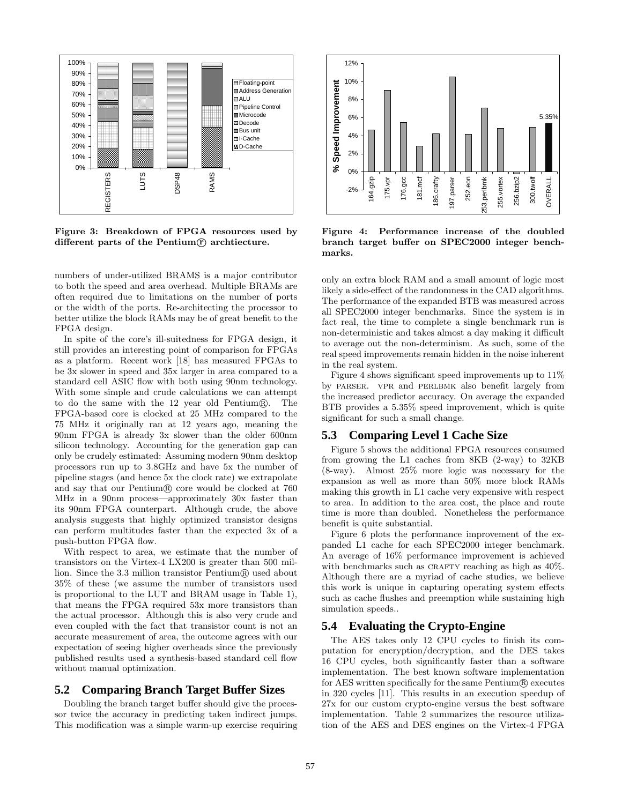

Figure 3: Breakdown of FPGA resources used by different parts of the Pentium $(F)$  archtiecture.

numbers of under-utilized BRAMS is a major contributor to both the speed and area overhead. Multiple BRAMs are often required due to limitations on the number of ports or the width of the ports. Re-architecting the processor to better utilize the block RAMs may be of great benefit to the FPGA design.

In spite of the core's ill-suitedness for FPGA design, it still provides an interesting point of comparison for FPGAs as a platform. Recent work [18] has measured FPGAs to be 3x slower in speed and 35x larger in area compared to a standard cell ASIC flow with both using 90nm technology. With some simple and crude calculations we can attempt to do the same with the 12 year old Pentium®. The FPGA-based core is clocked at 25 MHz compared to the 75 MHz it originally ran at 12 years ago, meaning the 90nm FPGA is already 3x slower than the older 600nm silicon technology. Accounting for the generation gap can only be crudely estimated: Assuming modern 90nm desktop processors run up to 3.8GHz and have 5x the number of pipeline stages (and hence 5x the clock rate) we extrapolate and say that our Pentium $\mathbb R$  core would be clocked at 760 MHz in a 90nm process—approximately 30x faster than its 90nm FPGA counterpart. Although crude, the above analysis suggests that highly optimized transistor designs can perform multitudes faster than the expected 3x of a push-button FPGA flow.

With respect to area, we estimate that the number of transistors on the Virtex-4 LX200 is greater than 500 million. Since the 3.3 million transistor  $Pentium(R)$  used about 35% of these (we assume the number of transistors used is proportional to the LUT and BRAM usage in Table 1), that means the FPGA required 53x more transistors than the actual processor. Although this is also very crude and even coupled with the fact that transistor count is not an accurate measurement of area, the outcome agrees with our expectation of seeing higher overheads since the previously published results used a synthesis-based standard cell flow without manual optimization.

#### **5.2 Comparing Branch Target Buffer Sizes**

Doubling the branch target buffer should give the processor twice the accuracy in predicting taken indirect jumps. This modification was a simple warm-up exercise requiring



Figure 4: Performance increase of the doubled branch target buffer on SPEC2000 integer benchmarks.

only an extra block RAM and a small amount of logic most likely a side-effect of the randomness in the CAD algorithms. The performance of the expanded BTB was measured across all SPEC2000 integer benchmarks. Since the system is in fact real, the time to complete a single benchmark run is non-deterministic and takes almost a day making it difficult to average out the non-determinism. As such, some of the real speed improvements remain hidden in the noise inherent in the real system.

Figure 4 shows significant speed improvements up to 11% by parser. vpr and perlbmk also benefit largely from the increased predictor accuracy. On average the expanded BTB provides a 5.35% speed improvement, which is quite significant for such a small change.

#### **5.3 Comparing Level 1 Cache Size**

Figure 5 shows the additional FPGA resources consumed from growing the L1 caches from 8KB (2-way) to 32KB (8-way). Almost 25% more logic was necessary for the expansion as well as more than 50% more block RAMs making this growth in L1 cache very expensive with respect to area. In addition to the area cost, the place and route time is more than doubled. Nonetheless the performance benefit is quite substantial.

Figure 6 plots the performance improvement of the expanded L1 cache for each SPEC2000 integer benchmark. An average of 16% performance improvement is achieved with benchmarks such as CRAFTY reaching as high as  $40\%$ . Although there are a myriad of cache studies, we believe this work is unique in capturing operating system effects such as cache flushes and preemption while sustaining high simulation speeds..

# **5.4 Evaluating the Crypto-Engine**

The AES takes only 12 CPU cycles to finish its computation for encryption/decryption, and the DES takes 16 CPU cycles, both significantly faster than a software implementation. The best known software implementation for AES written specifically for the same  $Pentium(R)$  executes in 320 cycles [11]. This results in an execution speedup of 27x for our custom crypto-engine versus the best software implementation. Table 2 summarizes the resource utilization of the AES and DES engines on the Virtex-4 FPGA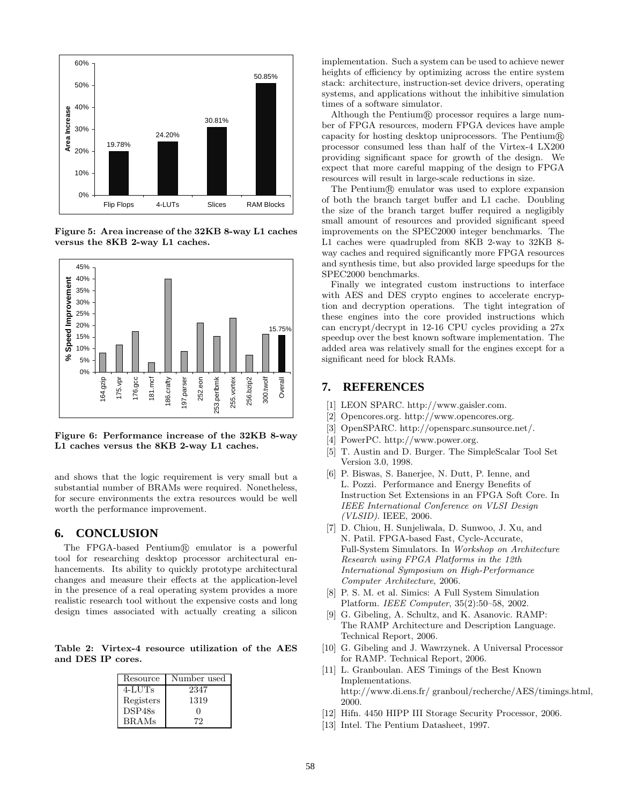

Figure 5: Area increase of the 32KB 8-way L1 caches versus the 8KB 2-way L1 caches.



Figure 6: Performance increase of the 32KB 8-way L1 caches versus the 8KB 2-way L1 caches.

and shows that the logic requirement is very small but a substantial number of BRAMs were required. Nonetheless, for secure environments the extra resources would be well worth the performance improvement.

#### **6. CONCLUSION**

The FPGA-based Pentium(R) emulator is a powerful tool for researching desktop processor architectural enhancements. Its ability to quickly prototype architectural changes and measure their effects at the application-level in the presence of a real operating system provides a more realistic research tool without the expensive costs and long design times associated with actually creating a silicon

Table 2: Virtex-4 resource utilization of the AES and DES IP cores.

| Resource     | Number used |
|--------------|-------------|
| $4$ -LUTs    | 2347        |
| Registers    | 1319        |
| DSP48s       | .,          |
| <b>BRAMs</b> | 79.         |

implementation. Such a system can be used to achieve newer heights of efficiency by optimizing across the entire system stack: architecture, instruction-set device drivers, operating systems, and applications without the inhibitive simulation times of a software simulator.

Although the Pentium $\mathbb R$  processor requires a large number of FPGA resources, modern FPGA devices have ample capacity for hosting desktop uniprocessors. The Pentium $\mathbb{R}$ processor consumed less than half of the Virtex-4 LX200 providing significant space for growth of the design. We expect that more careful mapping of the design to FPGA resources will result in large-scale reductions in size.

The Pentium $\mathbb R$  emulator was used to explore expansion of both the branch target buffer and L1 cache. Doubling the size of the branch target buffer required a negligibly small amount of resources and provided significant speed improvements on the SPEC2000 integer benchmarks. The L1 caches were quadrupled from 8KB 2-way to 32KB 8 way caches and required significantly more FPGA resources and synthesis time, but also provided large speedups for the SPEC2000 benchmarks.

Finally we integrated custom instructions to interface with AES and DES crypto engines to accelerate encryption and decryption operations. The tight integration of these engines into the core provided instructions which can encrypt/decrypt in 12-16 CPU cycles providing a 27x speedup over the best known software implementation. The added area was relatively small for the engines except for a significant need for block RAMs.

# **7. REFERENCES**

- [1] LEON SPARC. http://www.gaisler.com.
- [2] Opencores.org. http://www.opencores.org.
- [3] OpenSPARC. http://opensparc.sunsource.net/.
- [4] PowerPC. http://www.power.org.
- [5] T. Austin and D. Burger. The SimpleScalar Tool Set Version 3.0, 1998.
- [6] P. Biswas, S. Banerjee, N. Dutt, P. Ienne, and L. Pozzi. Performance and Energy Benefits of Instruction Set Extensions in an FPGA Soft Core. In IEEE International Conference on VLSI Design (VLSID). IEEE, 2006.
- [7] D. Chiou, H. Sunjeliwala, D. Sunwoo, J. Xu, and N. Patil. FPGA-based Fast, Cycle-Accurate, Full-System Simulators. In Workshop on Architecture Research using FPGA Platforms in the 12th International Symposium on High-Performance Computer Architecture, 2006.
- [8] P. S. M. et al. Simics: A Full System Simulation Platform. IEEE Computer, 35(2):50–58, 2002.
- [9] G. Gibeling, A. Schultz, and K. Asanovic. RAMP: The RAMP Architecture and Description Language. Technical Report, 2006.
- [10] G. Gibeling and J. Wawrzynek. A Universal Processor for RAMP. Technical Report, 2006.
- [11] L. Granboulan. AES Timings of the Best Known Implementations. http://www.di.ens.fr/ granboul/recherche/AES/timings.html, 2000.
- [12] Hifn. 4450 HIPP III Storage Security Processor, 2006.
- [13] Intel. The Pentium Datasheet, 1997.